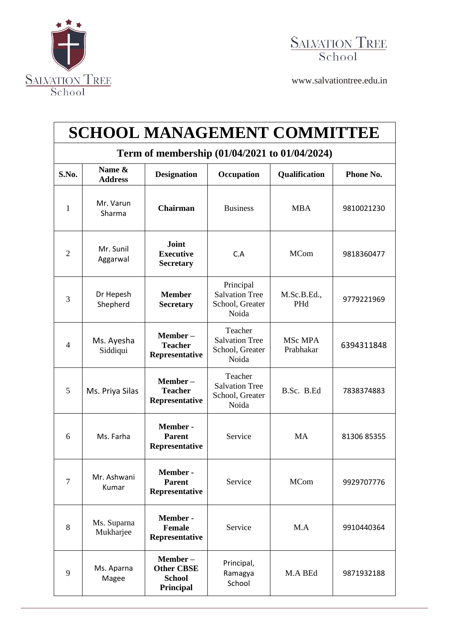



[www.salvationtree.edu.in](http://www.salvationtree.edu.in/)

| <b>SCHOOL MANAGEMENT COMMITTEE</b>            |                          |                                                            |                                                                |                      |             |  |  |  |
|-----------------------------------------------|--------------------------|------------------------------------------------------------|----------------------------------------------------------------|----------------------|-------------|--|--|--|
| Term of membership (01/04/2021 to 01/04/2024) |                          |                                                            |                                                                |                      |             |  |  |  |
| S.No.                                         | Name &<br><b>Address</b> | <b>Designation</b>                                         | Occupation                                                     | Qualification        | Phone No.   |  |  |  |
| 1                                             | Mr. Varun<br>Sharma      | <b>Chairman</b>                                            | <b>Business</b>                                                | <b>MBA</b>           | 9810021230  |  |  |  |
| $\overline{2}$                                | Mr. Sunil<br>Aggarwal    | Joint<br><b>Executive</b><br><b>Secretary</b>              | C.A                                                            | <b>MCom</b>          | 9818360477  |  |  |  |
| 3                                             | Dr Hepesh<br>Shepherd    | <b>Member</b><br><b>Secretary</b>                          | Principal<br><b>Salvation Tree</b><br>School, Greater<br>Noida | M.Sc.B.Ed.,<br>PHd   | 9779221969  |  |  |  |
| $\overline{4}$                                | Ms. Ayesha<br>Siddiqui   | Member-<br><b>Teacher</b><br>Representative                | Teacher<br><b>Salvation Tree</b><br>School, Greater<br>Noida   | MSc MPA<br>Prabhakar | 6394311848  |  |  |  |
| 5                                             | Ms. Priya Silas          | Member-<br><b>Teacher</b><br>Representative                | Teacher<br><b>Salvation Tree</b><br>School, Greater<br>Noida   | B.Sc. B.Ed           | 7838374883  |  |  |  |
| 6                                             | Ms. Farha                | Member -<br><b>Parent</b><br>Representative                | Service                                                        | <b>MA</b>            | 81306 85355 |  |  |  |
| $\overline{7}$                                | Mr. Ashwani<br>Kumar     | Member-<br><b>Parent</b><br>Representative                 | Service                                                        | <b>MCom</b>          | 9929707776  |  |  |  |
| 8                                             | Ms. Suparna<br>Mukharjee | Member -<br><b>Female</b><br>Representative                | Service                                                        | M.A                  | 9910440364  |  |  |  |
| 9                                             | Ms. Aparna<br>Magee      | Member-<br><b>Other CBSE</b><br><b>School</b><br>Principal | Principal,<br>Ramagya<br>School                                | M.A BEd              | 9871932188  |  |  |  |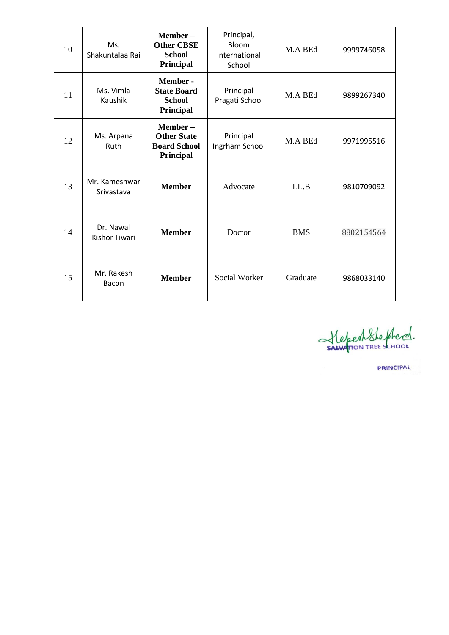| 10 | Ms.<br>Shakuntalaa Rai            | Member-<br><b>Other CBSE</b><br><b>School</b><br>Principal          | Principal,<br>Bloom<br>International<br>School | M.A BEd    | 9999746058 |
|----|-----------------------------------|---------------------------------------------------------------------|------------------------------------------------|------------|------------|
| 11 | Ms. Vimla<br>Kaushik              | Member -<br><b>State Board</b><br><b>School</b><br><b>Principal</b> | Principal<br>Pragati School                    | M.A BEd    | 9899267340 |
| 12 | Ms. Arpana<br>Ruth                | Member-<br><b>Other State</b><br><b>Board School</b><br>Principal   | Principal<br>Ingrham School                    | M.A BEd    | 9971995516 |
| 13 | Mr. Kameshwar<br>Srivastava       | <b>Member</b>                                                       | Advocate                                       | LL.B       | 9810709092 |
| 14 | Dr. Nawal<br><b>Kishor Tiwari</b> | <b>Member</b>                                                       | Doctor                                         | <b>BMS</b> | 8802154564 |
| 15 | Mr. Rakesh<br>Bacon               | <b>Member</b>                                                       | <b>Social Worker</b>                           | Graduate   | 9868033140 |

StepenStephend.

**PRINCIPAL**